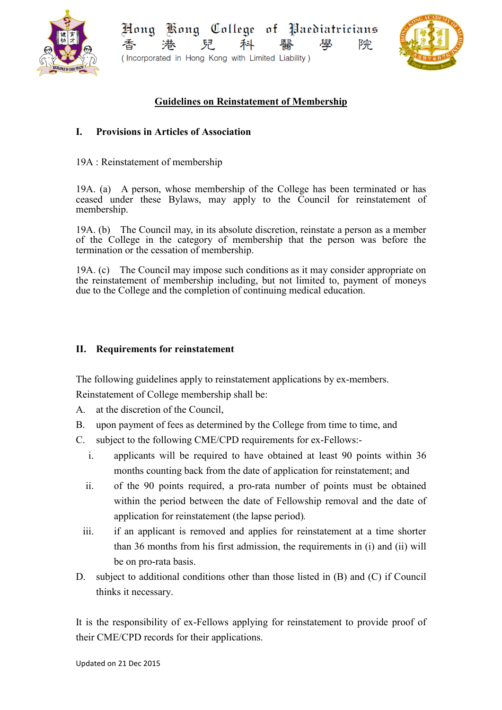

Kong College of Paediatricians Hong 院 學 (Incorporated in Hong Kong with Limited Liability)



## **Guidelines on Reinstatement of Membership**

## **I. Provisions in Articles of Association**

19A : Reinstatement of membership

19A. (a) A person, whose membership of the College has been terminated or has ceased under these Bylaws, may apply to the Council for reinstatement of membership.

19A. (b) The Council may, in its absolute discretion, reinstate a person as a member of the College in the category of membership that the person was before the termination or the cessation of membership.

19A. (c) The Council may impose such conditions as it may consider appropriate on the reinstatement of membership including, but not limited to, payment of moneys due to the College and the completion of continuing medical education.

## **II. Requirements for reinstatement**

The following guidelines apply to reinstatement applications by ex-members. Reinstatement of College membership shall be:

- A. at the discretion of the Council,
- B. upon payment of fees as determined by the College from time to time, and
- C. subject to the following CME/CPD requirements for ex-Fellows:
	- i. applicants will be required to have obtained at least 90 points within 36 months counting back from the date of application for reinstatement; and
	- ii. of the 90 points required, a pro-rata number of points must be obtained within the period between the date of Fellowship removal and the date of application for reinstatement (the lapse period)*.*
	- iii. if an applicant is removed and applies for reinstatement at a time shorter than 36 months from his first admission, the requirements in (i) and (ii) will be on pro-rata basis.
- D. subject to additional conditions other than those listed in (B) and (C) if Council thinks it necessary.

It is the responsibility of ex-Fellows applying for reinstatement to provide proof of their CME/CPD records for their applications.